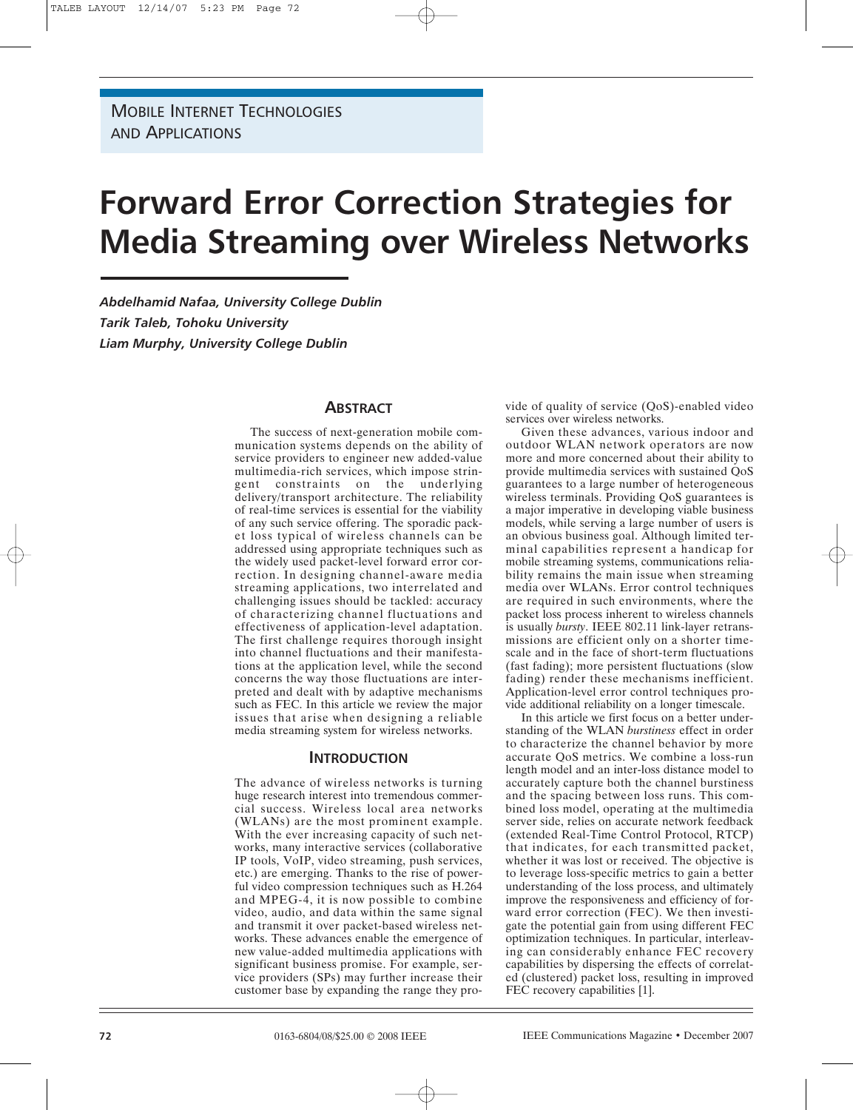# **Forward Error Correction Strategies for Media Streaming over Wireless Networks**

*Abdelhamid Nafaa, University College Dublin Tarik Taleb, Tohoku University Liam Murphy, University College Dublin*

## **ABSTRACT**

The success of next-generation mobile communication systems depends on the ability of service providers to engineer new added-value multimedia-rich services, which impose stringent constraints on the underlying delivery/transport architecture. The reliability of real-time services is essential for the viability of any such service offering. The sporadic packet loss typical of wireless channels can be addressed using appropriate techniques such as the widely used packet-level forward error correction. In designing channel-aware media streaming applications, two interrelated and challenging issues should be tackled: accuracy of characterizing channel fluctuations and effectiveness of application-level adaptation. The first challenge requires thorough insight into channel fluctuations and their manifestations at the application level, while the second concerns the way those fluctuations are interpreted and dealt with by adaptive mechanisms such as FEC. In this article we review the major issues that arise when designing a reliable media streaming system for wireless networks.

## **INTRODUCTION**

The advance of wireless networks is turning huge research interest into tremendous commercial success. Wireless local area networks (WLANs) are the most prominent example. With the ever increasing capacity of such networks, many interactive services (collaborative IP tools, VoIP, video streaming, push services, etc.) are emerging. Thanks to the rise of powerful video compression techniques such as H.264 and MPEG-4, it is now possible to combine video, audio, and data within the same signal and transmit it over packet-based wireless networks. These advances enable the emergence of new value-added multimedia applications with significant business promise. For example, service providers (SPs) may further increase their customer base by expanding the range they provide of quality of service (QoS)-enabled video services over wireless networks.

Given these advances, various indoor and outdoor WLAN network operators are now more and more concerned about their ability to provide multimedia services with sustained QoS guarantees to a large number of heterogeneous wireless terminals. Providing QoS guarantees is a major imperative in developing viable business models, while serving a large number of users is an obvious business goal. Although limited terminal capabilities represent a handicap for mobile streaming systems, communications reliability remains the main issue when streaming media over WLANs. Error control techniques are required in such environments, where the packet loss process inherent to wireless channels is usually *bursty*. IEEE 802.11 link-layer retransmissions are efficient only on a shorter timescale and in the face of short-term fluctuations (fast fading); more persistent fluctuations (slow fading) render these mechanisms inefficient. Application-level error control techniques provide additional reliability on a longer timescale.

In this article we first focus on a better understanding of the WLAN *burstiness* effect in order to characterize the channel behavior by more accurate QoS metrics. We combine a loss-run length model and an inter-loss distance model to accurately capture both the channel burstiness and the spacing between loss runs. This combined loss model, operating at the multimedia server side, relies on accurate network feedback (extended Real-Time Control Protocol, RTCP) that indicates, for each transmitted packet, whether it was lost or received. The objective is to leverage loss-specific metrics to gain a better understanding of the loss process, and ultimately improve the responsiveness and efficiency of forward error correction (FEC). We then investigate the potential gain from using different FEC optimization techniques. In particular, interleaving can considerably enhance FEC recovery capabilities by dispersing the effects of correlated (clustered) packet loss, resulting in improved FEC recovery capabilities [1].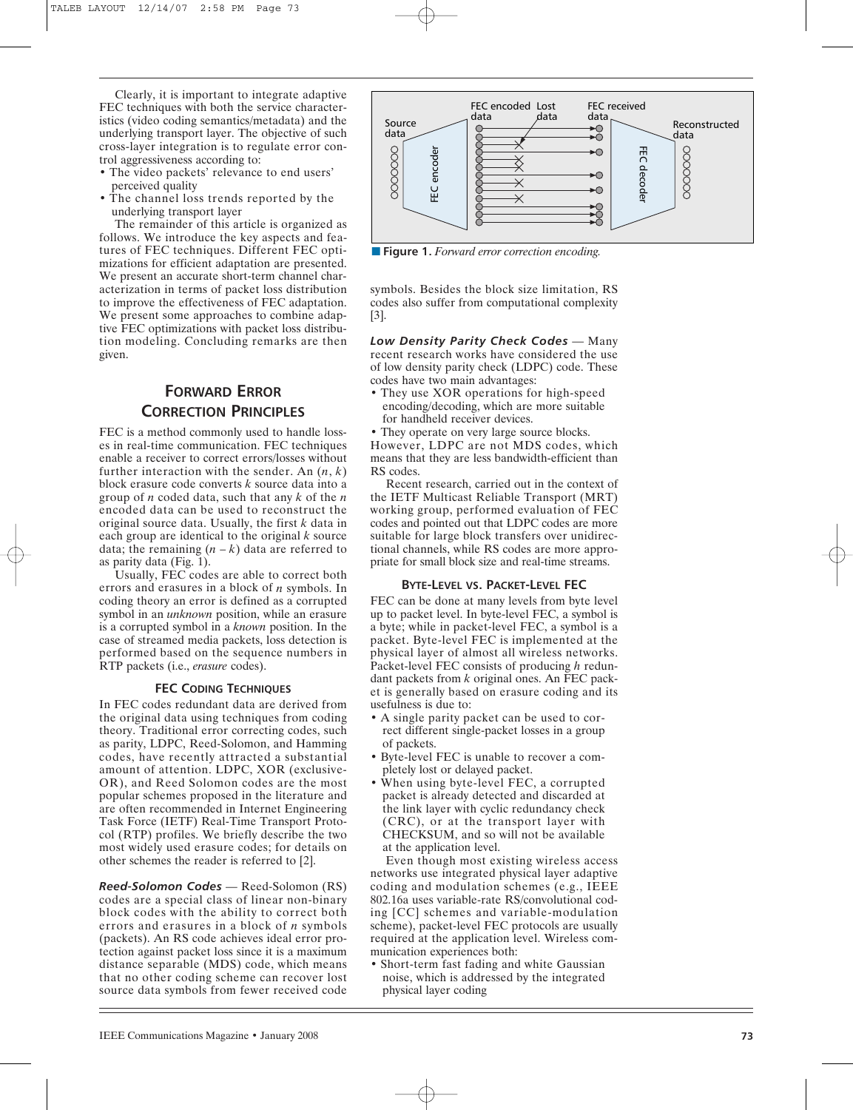Clearly, it is important to integrate adaptive FEC techniques with both the service characteristics (video coding semantics/metadata) and the underlying transport layer. The objective of such cross-layer integration is to regulate error control aggressiveness according to:

- The video packets' relevance to end users' perceived quality
- The channel loss trends reported by the underlying transport layer

The remainder of this article is organized as follows. We introduce the key aspects and features of FEC techniques. Different FEC optimizations for efficient adaptation are presented. We present an accurate short-term channel characterization in terms of packet loss distribution to improve the effectiveness of FEC adaptation. We present some approaches to combine adaptive FEC optimizations with packet loss distribution modeling. Concluding remarks are then given.

# **FORWARD ERROR CORRECTION PRINCIPLES**

FEC is a method commonly used to handle losses in real-time communication. FEC techniques enable a receiver to correct errors/losses without further interaction with the sender. An (*n*, *k*) block erasure code converts *k* source data into a group of *n* coded data, such that any *k* of the *n* encoded data can be used to reconstruct the original source data. Usually, the first *k* data in each group are identical to the original *k* source data; the remaining  $(n - k)$  data are referred to as parity data (Fig. 1).

Usually, FEC codes are able to correct both errors and erasures in a block of *n* symbols. In coding theory an error is defined as a corrupted symbol in an *unknown* position, while an erasure is a corrupted symbol in a *known* position. In the case of streamed media packets, loss detection is performed based on the sequence numbers in RTP packets (i.e., *erasure* codes).

### **FEC CODING TECHNIQUES**

In FEC codes redundant data are derived from the original data using techniques from coding theory. Traditional error correcting codes, such as parity, LDPC, Reed-Solomon, and Hamming codes, have recently attracted a substantial amount of attention. LDPC, XOR (exclusive-OR), and Reed Solomon codes are the most popular schemes proposed in the literature and are often recommended in Internet Engineering Task Force (IETF) Real-Time Transport Protocol (RTP) profiles. We briefly describe the two most widely used erasure codes; for details on other schemes the reader is referred to [2].

*Reed-Solomon Codes* — Reed-Solomon (RS) codes are a special class of linear non-binary block codes with the ability to correct both errors and erasures in a block of *n* symbols (packets). An RS code achieves ideal error protection against packet loss since it is a maximum distance separable (MDS) code, which means that no other coding scheme can recover lost source data symbols from fewer received code



symbols. Besides the block size limitation, RS codes also suffer from computational complexity [3].

*Low Density Parity Check Codes* — Many recent research works have considered the use of low density parity check (LDPC) code. These codes have two main advantages:

- They use XOR operations for high-speed encoding/decoding, which are more suitable for handheld receiver devices.
- They operate on very large source blocks.

However, LDPC are not MDS codes, which means that they are less bandwidth-efficient than RS codes.

Recent research, carried out in the context of the IETF Multicast Reliable Transport (MRT) working group, performed evaluation of FEC codes and pointed out that LDPC codes are more suitable for large block transfers over unidirectional channels, while RS codes are more appropriate for small block size and real-time streams.

## **BYTE-LEVEL VS. PACKET-LEVEL FEC**

FEC can be done at many levels from byte level up to packet level. In byte-level FEC, a symbol is a byte; while in packet-level FEC, a symbol is a packet. Byte-level FEC is implemented at the physical layer of almost all wireless networks. Packet-level FEC consists of producing *h* redundant packets from *k* original ones. An FEC packet is generally based on erasure coding and its usefulness is due to:

- A single parity packet can be used to correct different single-packet losses in a group of packets.
- Byte-level FEC is unable to recover a completely lost or delayed packet.
- When using byte-level FEC, a corrupted packet is already detected and discarded at the link layer with cyclic redundancy check (CRC), or at the transport layer with CHECKSUM, and so will not be available at the application level.

Even though most existing wireless access networks use integrated physical layer adaptive coding and modulation schemes (e.g., IEEE 802.16a uses variable-rate RS/convolutional coding [CC] schemes and variable-modulation scheme), packet-level FEC protocols are usually required at the application level. Wireless communication experiences both:

• Short-term fast fading and white Gaussian noise, which is addressed by the integrated physical layer coding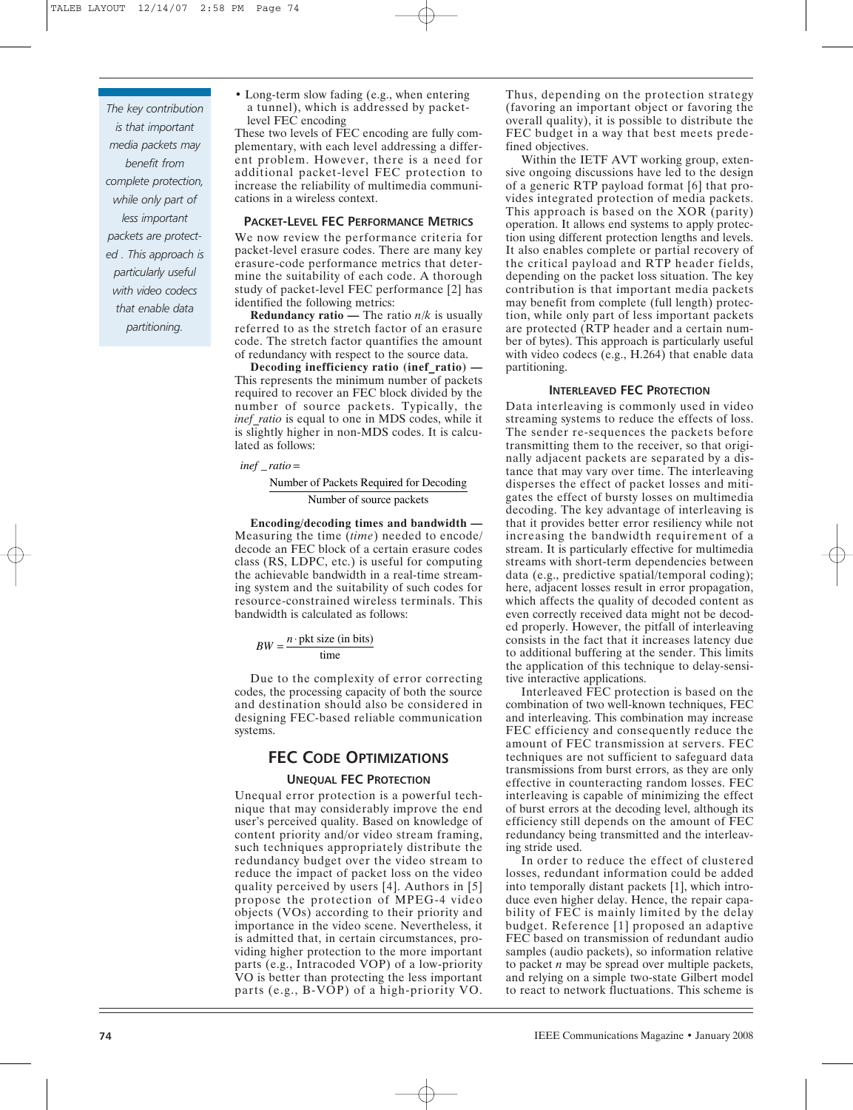*The key contribution is that important media packets may benefit from complete protection, while only part of less important packets are protected . This approach is particularly useful with video codecs that enable data partitioning.*

• Long-term slow fading (e.g., when entering a tunnel), which is addressed by packetlevel FEC encoding

These two levels of FEC encoding are fully complementary, with each level addressing a different problem. However, there is a need for additional packet-level FEC protection to increase the reliability of multimedia communications in a wireless context.

## **PACKET-LEVEL FEC PERFORMANCE METRICS**

We now review the performance criteria for packet-level erasure codes. There are many key erasure-code performance metrics that determine the suitability of each code. A thorough study of packet-level FEC performance [2] has identified the following metrics:

**Redundancy ratio —** The ratio  $n/k$  is usually referred to as the stretch factor of an erasure code. The stretch factor quantifies the amount of redundancy with respect to the source data.

**Decoding inefficiency ratio (inef\_ratio) —** This represents the minimum number of packets required to recover an FEC block divided by the number of source packets. Typically, the *inef ratio* is equal to one in MDS codes, while it is slightly higher in non-MDS codes. It is calculated as follows:

#### $\text{inef\_ratio} =$

Number of Packets Required for Decoding Number of source packets

**Encoding/decoding times and bandwidth —** Measuring the time (*time*) needed to encode/ decode an FEC block of a certain erasure codes class (RS, LDPC, etc.) is useful for computing the achievable bandwidth in a real-time streaming system and the suitability of such codes for resource-constrained wireless terminals. This bandwidth is calculated as follows:

$$
BW = \frac{n \cdot \text{pkt size (in bits)}}{\text{time}}
$$

Due to the complexity of error correcting codes, the processing capacity of both the source and destination should also be considered in designing FEC-based reliable communication systems.

# **FEC CODE OPTIMIZATIONS**

## **UNEQUAL FEC PROTECTION**

Unequal error protection is a powerful technique that may considerably improve the end user's perceived quality. Based on knowledge of content priority and/or video stream framing, such techniques appropriately distribute the redundancy budget over the video stream to reduce the impact of packet loss on the video quality perceived by users [4]. Authors in [5] propose the protection of MPEG-4 video objects (VOs) according to their priority and importance in the video scene. Nevertheless, it is admitted that, in certain circumstances, providing higher protection to the more important parts (e.g., Intracoded VOP) of a low-priority VO is better than protecting the less important parts (e.g., B-VOP) of a high-priority VO. Thus, depending on the protection strategy (favoring an important object or favoring the overall quality), it is possible to distribute the FEC budget in a way that best meets predefined objectives.

Within the IETF AVT working group, extensive ongoing discussions have led to the design of a generic RTP payload format [6] that provides integrated protection of media packets. This approach is based on the XOR (parity) operation. It allows end systems to apply protection using different protection lengths and levels. It also enables complete or partial recovery of the critical payload and RTP header fields, depending on the packet loss situation. The key contribution is that important media packets may benefit from complete (full length) protection, while only part of less important packets are protected (RTP header and a certain number of bytes). This approach is particularly useful with video codecs (e.g., H.264) that enable data partitioning.

## **INTERLEAVED FEC PROTECTION**

Data interleaving is commonly used in video streaming systems to reduce the effects of loss. The sender re-sequences the packets before transmitting them to the receiver, so that originally adjacent packets are separated by a distance that may vary over time. The interleaving disperses the effect of packet losses and mitigates the effect of bursty losses on multimedia decoding. The key advantage of interleaving is that it provides better error resiliency while not increasing the bandwidth requirement of a stream. It is particularly effective for multimedia streams with short-term dependencies between data (e.g., predictive spatial/temporal coding); here, adjacent losses result in error propagation, which affects the quality of decoded content as even correctly received data might not be decoded properly. However, the pitfall of interleaving consists in the fact that it increases latency due to additional buffering at the sender. This limits the application of this technique to delay-sensitive interactive applications.

Interleaved FEC protection is based on the combination of two well-known techniques, FEC and interleaving. This combination may increase FEC efficiency and consequently reduce the amount of FEC transmission at servers. FEC techniques are not sufficient to safeguard data transmissions from burst errors, as they are only effective in counteracting random losses. FEC interleaving is capable of minimizing the effect of burst errors at the decoding level, although its efficiency still depends on the amount of FEC redundancy being transmitted and the interleaving stride used.

In order to reduce the effect of clustered losses, redundant information could be added into temporally distant packets [1], which introduce even higher delay. Hence, the repair capability of FEC is mainly limited by the delay budget. Reference [1] proposed an adaptive FEC based on transmission of redundant audio samples (audio packets), so information relative to packet *n* may be spread over multiple packets, and relying on a simple two-state Gilbert model to react to network fluctuations. This scheme is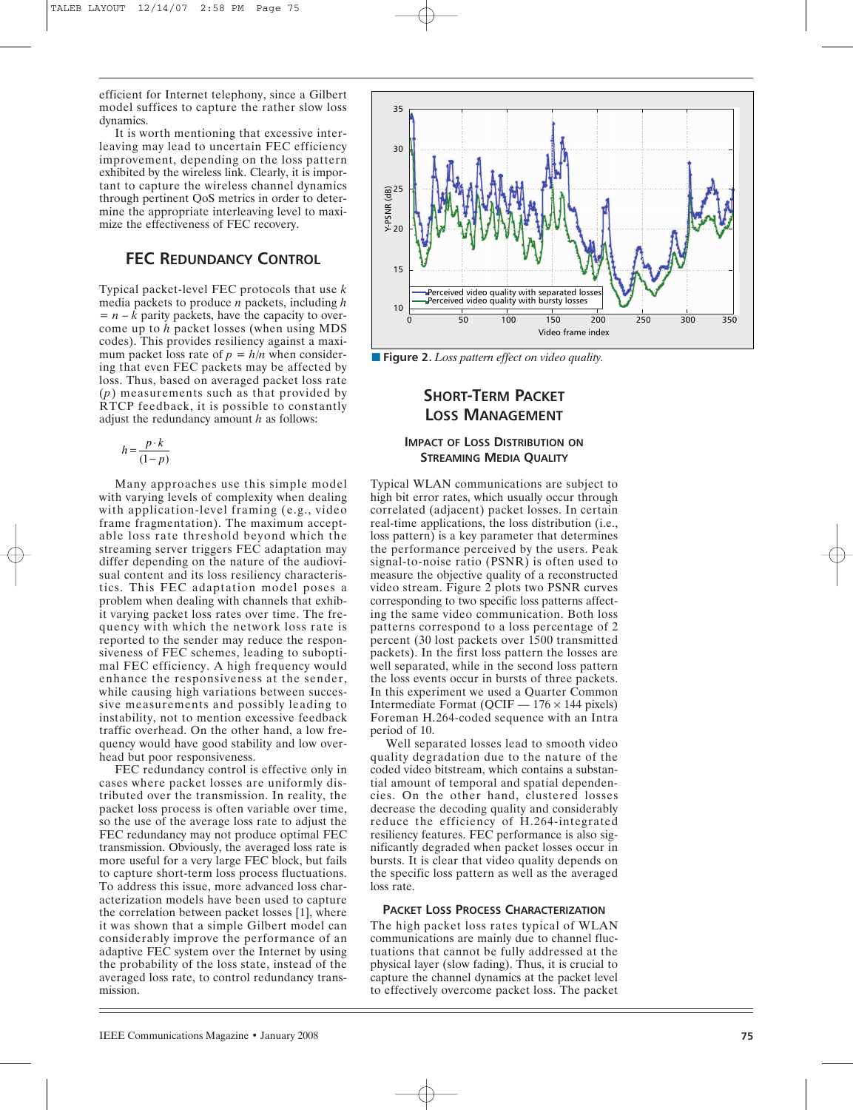efficient for Internet telephony, since a Gilbert model suffices to capture the rather slow loss dynamics.

It is worth mentioning that excessive interleaving may lead to uncertain FEC efficiency improvement, depending on the loss pattern exhibited by the wireless link. Clearly, it is important to capture the wireless channel dynamics through pertinent QoS metrics in order to determine the appropriate interleaving level to maximize the effectiveness of FEC recovery.

## **FEC REDUNDANCY CONTROL**

Typical packet-level FEC protocols that use *k* media packets to produce *n* packets, including *h*  $= n - \overline{k}$  parity packets, have the capacity to overcome up to *h* packet losses (when using MDS codes). This provides resiliency against a maximum packet loss rate of  $p = h/n$  when considering that even FEC packets may be affected by loss. Thus, based on averaged packet loss rate (*p*) measurements such as that provided by RTCP feedback, it is possible to constantly adjust the redundancy amount *h* as follows:

$$
h = \frac{p \cdot k}{(1 - p)}
$$

Many approaches use this simple model with varying levels of complexity when dealing with application-level framing (e.g., video frame fragmentation). The maximum acceptable loss rate threshold beyond which the streaming server triggers FEC adaptation may differ depending on the nature of the audiovisual content and its loss resiliency characteristics. This FEC adaptation model poses a problem when dealing with channels that exhibit varying packet loss rates over time. The frequency with which the network loss rate is reported to the sender may reduce the responsiveness of FEC schemes, leading to suboptimal FEC efficiency. A high frequency would enhance the responsiveness at the sender, while causing high variations between successive measurements and possibly leading to instability, not to mention excessive feedback traffic overhead. On the other hand, a low frequency would have good stability and low overhead but poor responsiveness.

FEC redundancy control is effective only in cases where packet losses are uniformly distributed over the transmission. In reality, the packet loss process is often variable over time, so the use of the average loss rate to adjust the FEC redundancy may not produce optimal FEC transmission. Obviously, the averaged loss rate is more useful for a very large FEC block, but fails to capture short-term loss process fluctuations. To address this issue, more advanced loss characterization models have been used to capture the correlation between packet losses [1], where it was shown that a simple Gilbert model can considerably improve the performance of an adaptive FEC system over the Internet by using the probability of the loss state, instead of the averaged loss rate, to control redundancy transmission.



**■ Figure 2.** *Loss pattern effect on video quality.*

## **SHORT-TERM PACKET LOSS MANAGEMENT**

## **IMPACT OF LOSS DISTRIBUTION ON STREAMING MEDIA QUALITY**

Typical WLAN communications are subject to high bit error rates, which usually occur through correlated (adjacent) packet losses. In certain real-time applications, the loss distribution (i.e., loss pattern) is a key parameter that determines the performance perceived by the users. Peak signal-to-noise ratio (PSNR) is often used to measure the objective quality of a reconstructed video stream. Figure 2 plots two PSNR curves corresponding to two specific loss patterns affecting the same video communication. Both loss patterns correspond to a loss percentage of 2 percent (30 lost packets over 1500 transmitted packets). In the first loss pattern the losses are well separated, while in the second loss pattern the loss events occur in bursts of three packets. In this experiment we used a Quarter Common Intermediate Format (QCIF  $-176 \times 144$  pixels) Foreman H.264-coded sequence with an Intra period of 10.

Well separated losses lead to smooth video quality degradation due to the nature of the coded video bitstream, which contains a substantial amount of temporal and spatial dependencies. On the other hand, clustered losses decrease the decoding quality and considerably reduce the efficiency of H.264-integrated resiliency features. FEC performance is also significantly degraded when packet losses occur in bursts. It is clear that video quality depends on the specific loss pattern as well as the averaged loss rate.

## **PACKET LOSS PROCESS CHARACTERIZATION**

The high packet loss rates typical of WLAN communications are mainly due to channel fluctuations that cannot be fully addressed at the physical layer (slow fading). Thus, it is crucial to capture the channel dynamics at the packet level to effectively overcome packet loss. The packet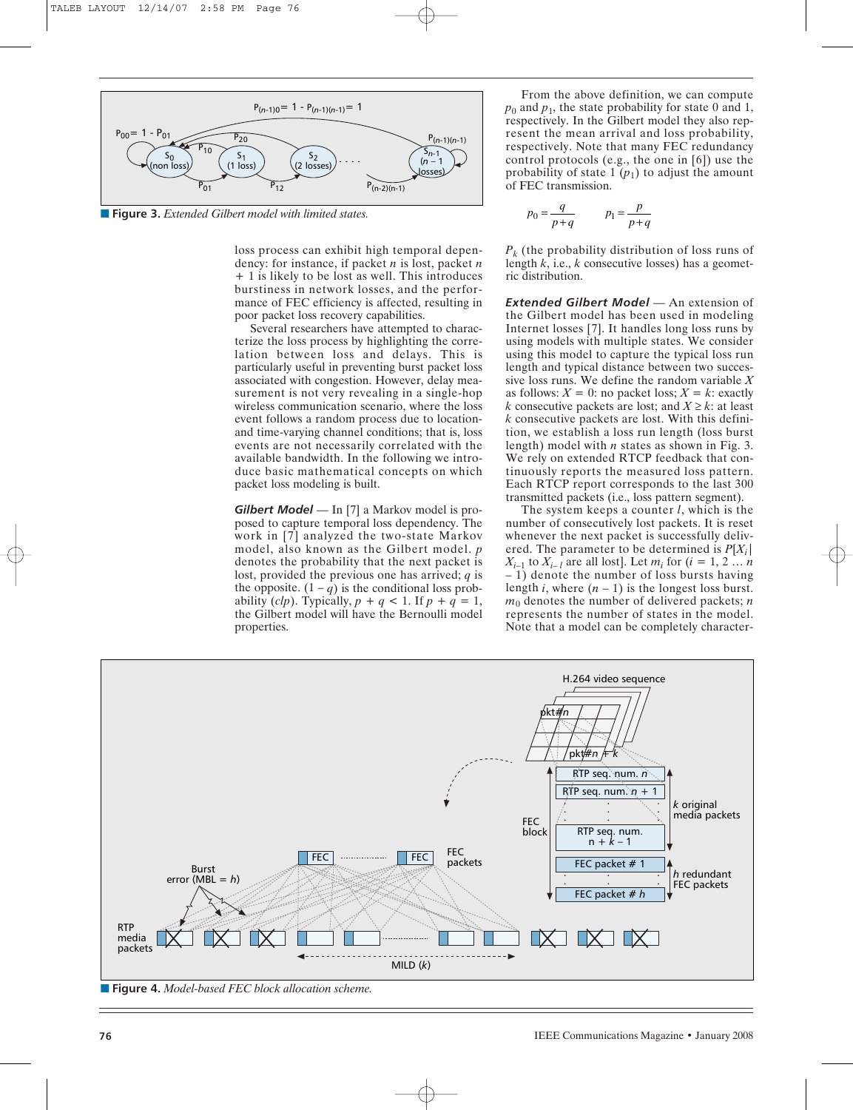

■ **Figure 3.** *Extended Gilbert model with limited states.* 

loss process can exhibit high temporal dependency: for instance, if packet *n* is lost, packet *n* + 1 is likely to be lost as well. This introduces burstiness in network losses, and the performance of FEC efficiency is affected, resulting in poor packet loss recovery capabilities.

Several researchers have attempted to characterize the loss process by highlighting the correlation between loss and delays. This is particularly useful in preventing burst packet loss associated with congestion. However, delay measurement is not very revealing in a single-hop wireless communication scenario, where the loss event follows a random process due to locationand time-varying channel conditions; that is, loss events are not necessarily correlated with the available bandwidth. In the following we introduce basic mathematical concepts on which packet loss modeling is built.

*Gilbert Model* — In [7] a Markov model is proposed to capture temporal loss dependency. The work in [7] analyzed the two-state Markov model, also known as the Gilbert model. *p* denotes the probability that the next packet is lost, provided the previous one has arrived; *q* is the opposite.  $(1 - q)$  is the conditional loss probability  $(clp)$ . Typically,  $p + q < 1$ . If  $p + q = 1$ , the Gilbert model will have the Bernoulli model properties.

From the above definition, we can compute  $p_0$  and  $p_1$ , the state probability for state 0 and 1, respectively. In the Gilbert model they also represent the mean arrival and loss probability, respectively. Note that many FEC redundancy control protocols (e.g., the one in [6]) use the probability of state  $1 (p_1)$  to adjust the amount of FEC transmission.

$$
p_0 = \frac{q}{p+q} \qquad p_1 = \frac{p}{p+q}
$$

*Pk* (the probability distribution of loss runs of length *k*, i.e., *k* consecutive losses) has a geometric distribution.

*Extended Gilbert Model* — An extension of the Gilbert model has been used in modeling Internet losses [7]. It handles long loss runs by using models with multiple states. We consider using this model to capture the typical loss run length and typical distance between two successive loss runs. We define the random variable *X* as follows:  $X = 0$ : no packet loss;  $X = k$ : exactly *k* consecutive packets are lost; and  $X \ge k$ : at least *k* consecutive packets are lost. With this definition, we establish a loss run length (loss burst length) model with *n* states as shown in Fig. 3. We rely on extended RTCP feedback that continuously reports the measured loss pattern. Each RTCP report corresponds to the last 300 transmitted packets (i.e., loss pattern segment).

The system keeps a counter *l*, which is the number of consecutively lost packets. It is reset whenever the next packet is successfully delivered. The parameter to be determined is *P*[*Xi*| *X*<sub>*i*-1</sub> to *X*<sub>*i*-1</sub> are all lost]. Let *m<sub>i</sub>* for (*i* = 1, 2 ... *n* – 1) denote the number of loss bursts having length *i*, where  $(n - 1)$  is the longest loss burst.  $m_0$  denotes the number of delivered packets; *n* represents the number of states in the model. Note that a model can be completely character-



**■ Figure 4.** *Model-based FEC block allocation scheme.*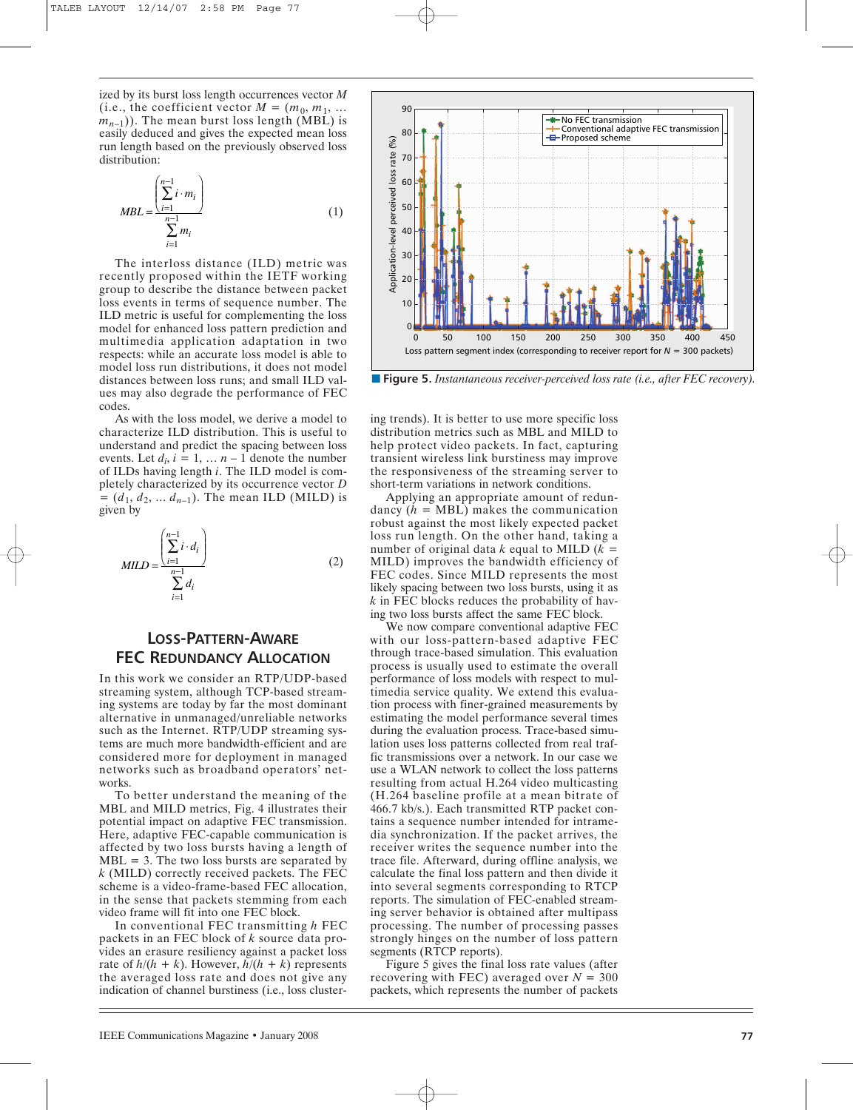ized by its burst loss length occurrences vector *M* (i.e., the coefficient vector  $M = (m_0, m_1, \dots)$  $m_{n-1}$ ). The mean burst loss length (MBL) is easily deduced and gives the expected mean loss run length based on the previously observed loss distribution:

$$
MBL = \frac{\left(\sum_{i=1}^{n-1} i \cdot m_i\right)}{\sum_{i=1}^{n-1} m_i} \tag{1}
$$

The interloss distance (ILD) metric was recently proposed within the IETF working group to describe the distance between packet loss events in terms of sequence number. The ILD metric is useful for complementing the loss model for enhanced loss pattern prediction and multimedia application adaptation in two respects: while an accurate loss model is able to model loss run distributions, it does not model distances between loss runs; and small ILD values may also degrade the performance of FEC codes.

As with the loss model, we derive a model to characterize ILD distribution. This is useful to understand and predict the spacing between loss events. Let  $d_i$ ,  $i = 1, \ldots n-1$  denote the number of ILDs having length *i*. The ILD model is completely characterized by its occurrence vector *D*  $=(d_1, d_2, ..., d_{n-1})$ . The mean ILD (MILD) is given by

$$
MILD = \frac{\left(\sum_{i=1}^{n-1} i \cdot d_i\right)}{\sum_{i=1}^{n-1} d_i} \tag{2}
$$

# **LOSS-PATTERN-AWARE FEC REDUNDANCY ALLOCATION**

In this work we consider an RTP/UDP-based streaming system, although TCP-based streaming systems are today by far the most dominant alternative in unmanaged/unreliable networks such as the Internet. RTP/UDP streaming systems are much more bandwidth-efficient and are considered more for deployment in managed networks such as broadband operators' networks.

To better understand the meaning of the MBL and MILD metrics, Fig. 4 illustrates their potential impact on adaptive FEC transmission. Here, adaptive FEC-capable communication is affected by two loss bursts having a length of  $MBL = 3$ . The two loss bursts are separated by *k* (MILD) correctly received packets. The FEC scheme is a video-frame-based FEC allocation, in the sense that packets stemming from each video frame will fit into one FEC block.

In conventional FEC transmitting *h* FEC packets in an FEC block of *k* source data provides an erasure resiliency against a packet loss rate of  $h/(h + k)$ . However,  $h/(h + k)$  represents the averaged loss rate and does not give any indication of channel burstiness (i.e., loss cluster-



■ **Figure 5.** *Instantaneous receiver-perceived loss rate (i.e., after FEC recovery).* 

ing trends). It is better to use more specific loss distribution metrics such as MBL and MILD to help protect video packets. In fact, capturing transient wireless link burstiness may improve the responsiveness of the streaming server to short-term variations in network conditions.

Applying an appropriate amount of redundancy  $(h = \text{MBL})$  makes the communication robust against the most likely expected packet loss run length. On the other hand, taking a number of original data  $k$  equal to MILD ( $k =$ MILD) improves the bandwidth efficiency of FEC codes. Since MILD represents the most likely spacing between two loss bursts, using it as *k* in FEC blocks reduces the probability of having two loss bursts affect the same FEC block.

We now compare conventional adaptive FEC with our loss-pattern-based adaptive FEC through trace-based simulation. This evaluation process is usually used to estimate the overall performance of loss models with respect to multimedia service quality. We extend this evaluation process with finer-grained measurements by estimating the model performance several times during the evaluation process. Trace-based simulation uses loss patterns collected from real traffic transmissions over a network. In our case we use a WLAN network to collect the loss patterns resulting from actual H.264 video multicasting (H.264 baseline profile at a mean bitrate of 466.7 kb/s.). Each transmitted RTP packet contains a sequence number intended for intramedia synchronization. If the packet arrives, the receiver writes the sequence number into the trace file. Afterward, during offline analysis, we calculate the final loss pattern and then divide it into several segments corresponding to RTCP reports. The simulation of FEC-enabled streaming server behavior is obtained after multipass processing. The number of processing passes strongly hinges on the number of loss pattern segments (RTCP reports).

Figure 5 gives the final loss rate values (after recovering with FEC) averaged over  $N = 300$ packets, which represents the number of packets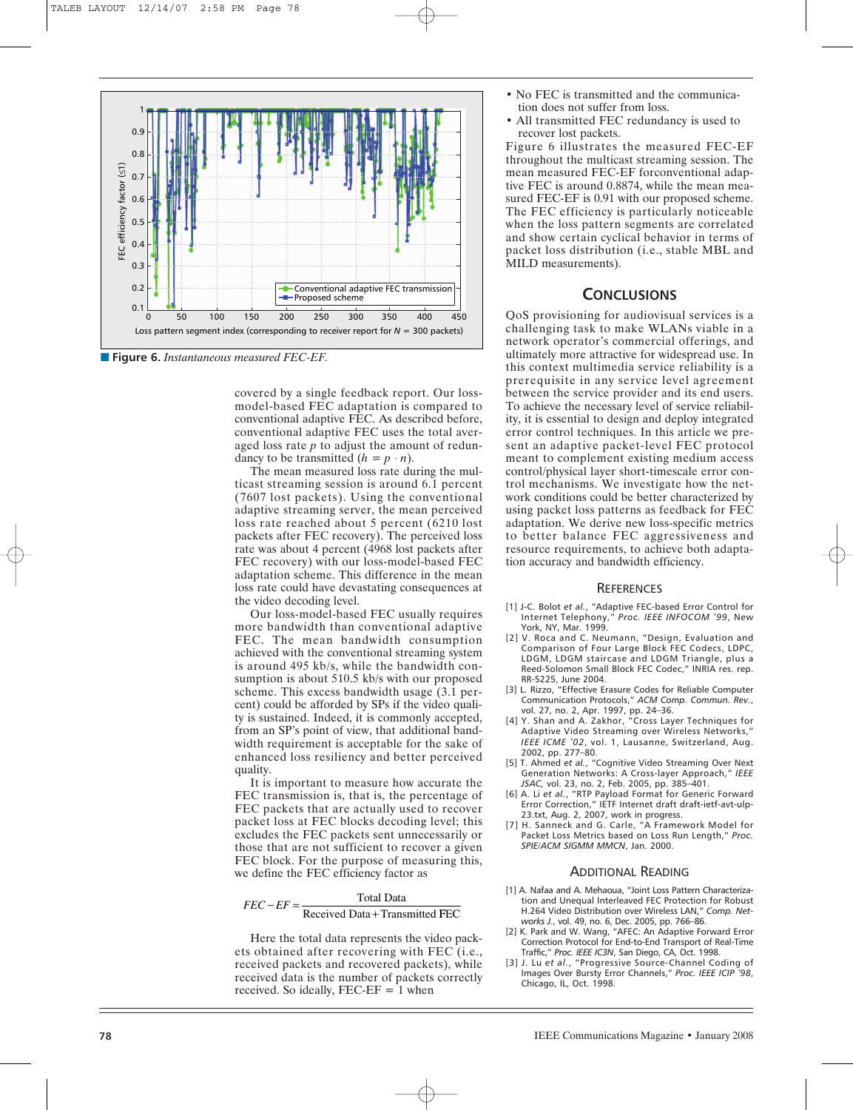

**■ Figure 6.** *Instantaneous measured FEC-EF.*

covered by a single feedback report. Our lossmodel-based FEC adaptation is compared to conventional adaptive FEC. As described before, conventional adaptive FEC uses the total averaged loss rate *p* to adjust the amount of redundancy to be transmitted  $(h = p \cdot n)$ .

The mean measured loss rate during the multicast streaming session is around 6.1 percent (7607 lost packets). Using the conventional adaptive streaming server, the mean perceived loss rate reached about 5 percent (6210 lost packets after FEC recovery). The perceived loss rate was about 4 percent (4968 lost packets after FEC recovery) with our loss-model-based FEC adaptation scheme. This difference in the mean loss rate could have devastating consequences at the video decoding level.

Our loss-model-based FEC usually requires more bandwidth than conventional adaptive FEC. The mean bandwidth consumption achieved with the conventional streaming system is around 495 kb/s, while the bandwidth consumption is about 510.5 kb/s with our proposed scheme. This excess bandwidth usage (3.1 percent) could be afforded by SPs if the video quality is sustained. Indeed, it is commonly accepted, from an SP's point of view, that additional bandwidth requirement is acceptable for the sake of enhanced loss resiliency and better perceived quality.

It is important to measure how accurate the FEC transmission is, that is, the percentage of FEC packets that are actually used to recover packet loss at FEC blocks decoding level; this excludes the FEC packets sent unnecessarily or those that are not sufficient to recover a given FEC block. For the purpose of measuring this, we define the FEC efficiency factor as

## $FEC - EF = \frac{10 \text{au} \text{ Data}}{\text{Received Data} + \text{Transmitted FEC}}$ Total Data

Here the total data represents the video packets obtained after recovering with FEC (i.e., received packets and recovered packets), while received data is the number of packets correctly received. So ideally,  $FEC-EF = 1$  when

- No FEC is transmitted and the communication does not suffer from loss.
- All transmitted FEC redundancy is used to recover lost packets.

Figure 6 illustrates the measured FEC-EF throughout the multicast streaming session. The mean measured FEC-EF forconventional adaptive FEC is around 0.8874, while the mean measured FEC-EF is 0.91 with our proposed scheme. The FEC efficiency is particularly noticeable when the loss pattern segments are correlated and show certain cyclical behavior in terms of packet loss distribution (i.e., stable MBL and MILD measurements).

## **CONCLUSIONS**

QoS provisioning for audiovisual services is a challenging task to make WLANs viable in a network operator's commercial offerings, and ultimately more attractive for widespread use. In this context multimedia service reliability is a prerequisite in any service level agreement between the service provider and its end users. To achieve the necessary level of service reliability, it is essential to design and deploy integrated error control techniques. In this article we present an adaptive packet-level FEC protocol meant to complement existing medium access control/physical layer short-timescale error control mechanisms. We investigate how the network conditions could be better characterized by using packet loss patterns as feedback for FEC adaptation. We derive new loss-specific metrics to better balance FEC aggressiveness and resource requirements, to achieve both adaptation accuracy and bandwidth efficiency.

### **REFERENCES**

- [1] J-C. Bolot *et al.*, "Adaptive FEC-based Error Control for Internet Telephony," *Proc. IEEE INFOCOM '99*, New York, NY, Mar. 1999.
- [2] V. Roca and C. Neumann, "Design, Evaluation and Comparison of Four Large Block FEC Codecs, LDPC, LDGM, LDGM staircase and LDGM Triangle, plus a Reed-Solomon Small Block FEC Codec," INRIA res. rep. RR-5225, June 2004.
- [3] L. Rizzo, "Effective Erasure Codes for Reliable Computer Communication Protocols," *ACM Comp. Commun. Rev.*, vol. 27, no. 2, Apr. 1997, pp. 24–36.
- [4] Y. Shan and A. Zakhor, "Cross Layer Techniques for Adaptive Video Streaming over Wireless Networks," *IEEE ICME '02*, vol. 1, Lausanne, Switzerland, Aug. 2002, pp. 277–80.
- [5] T. Ahmed *et al.*, "Cognitive Video Streaming Over Next Generation Networks: A Cross-layer Approach," *IEEE JSAC,* vol. 23, no. 2, Feb. 2005, pp. 385–401.
- [6] A. Li *et al.*, "RTP Payload Format for Generic Forward Error Correction," IETF Internet draft draft-ietf-avt-ulp-23.txt, Aug. 2, 2007, work in progress.
- H. Sanneck and G. Carle, "A Framework Model for Packet Loss Metrics based on Loss Run Length," *Proc. SPIE/ACM SIGMM MMCN*, Jan. 2000.

### ADDITIONAL READING

- [1] A. Nafaa and A. Mehaoua, "Joint Loss Pattern Characterization and Unequal Interleaved FEC Protection for Robust H.264 Video Distribution over Wireless LAN," *Comp. Networks J.*, vol. 49, no. 6, Dec. 2005, pp. 766–86.
- [2] K. Park and W. Wang, "AFEC: An Adaptive Forward Error Correction Protocol for End-to-End Transport of Real-Time Traffic," *Proc. IEEE IC3N*, San Diego, CA, Oct. 1998.
- [3] J. Lu *et al.*, "Progressive Source-Channel Coding of Images Over Bursty Error Channels," *Proc. IEEE ICIP '98*, Chicago, IL, Oct. 1998.